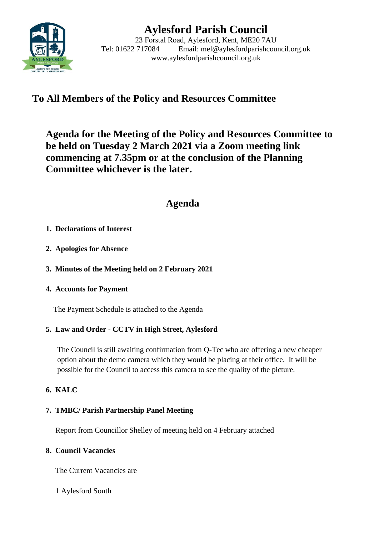

# **Aylesford Parish Council**

23 Forstal Road, Aylesford, Kent, ME20 7AU Tel: 01622 717084 Email: mel@aylesfordparishcouncil.org.uk www.aylesfordparishcouncil.org.uk

## **To All Members of the Policy and Resources Committee**

**Agenda for the Meeting of the Policy and Resources Committee to be held on Tuesday 2 March 2021 via a Zoom meeting link commencing at 7.35pm or at the conclusion of the Planning Committee whichever is the later.**

## **Agenda**

## **1. Declarations of Interest**

- **2. Apologies for Absence**
- **3. Minutes of the Meeting held on 2 February 2021**
- **4. Accounts for Payment**

The Payment Schedule is attached to the Agenda

## **5. Law and Order - CCTV in High Street, Aylesford**

The Council is still awaiting confirmation from Q-Tec who are offering a new cheaper option about the demo camera which they would be placing at their office. It will be possible for the Council to access this camera to see the quality of the picture.

## **6. KALC**

### **7. TMBC/ Parish Partnership Panel Meeting**

Report from Councillor Shelley of meeting held on 4 February attached

### **8. Council Vacancies**

The Current Vacancies are

1 Aylesford South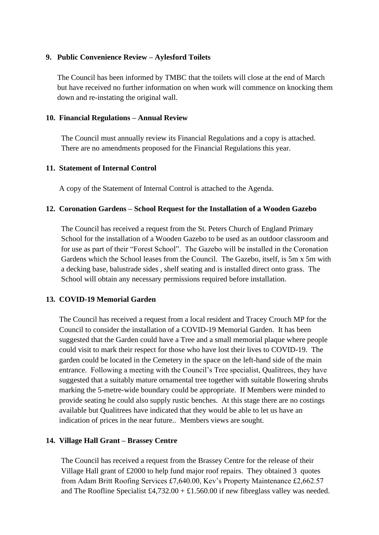#### **9. Public Convenience Review – Aylesford Toilets**

The Council has been informed by TMBC that the toilets will close at the end of March but have received no further information on when work will commence on knocking them down and re-instating the original wall.

#### **10. Financial Regulations – Annual Review**

The Council must annually review its Financial Regulations and a copy is attached. There are no amendments proposed for the Financial Regulations this year.

#### **11. Statement of Internal Control**

A copy of the Statement of Internal Control is attached to the Agenda.

#### **12. Coronation Gardens – School Request for the Installation of a Wooden Gazebo**

The Council has received a request from the St. Peters Church of England Primary School for the installation of a Wooden Gazebo to be used as an outdoor classroom and for use as part of their "Forest School". The Gazebo will be installed in the Coronation Gardens which the School leases from the Council. The Gazebo, itself, is 5m x 5m with a decking base, balustrade sides , shelf seating and is installed direct onto grass. The School will obtain any necessary permissions required before installation.

#### **13. COVID-19 Memorial Garden**

The Council has received a request from a local resident and Tracey Crouch MP for the Council to consider the installation of a COVID-19 Memorial Garden. It has been suggested that the Garden could have a Tree and a small memorial plaque where people could visit to mark their respect for those who have lost their lives to COVID-19. The garden could be located in the Cemetery in the space on the left-hand side of the main entrance. Following a meeting with the Council's Tree specialist, Qualitrees, they have suggested that a suitably mature ornamental tree together with suitable flowering shrubs marking the 5-metre-wide boundary could be appropriate. If Members were minded to provide seating he could also supply rustic benches. At this stage there are no costings available but Qualitrees have indicated that they would be able to let us have an indication of prices in the near future.. Members views are sought.

#### **14. Village Hall Grant – Brassey Centre**

The Council has received a request from the Brassey Centre for the release of their Village Hall grant of £2000 to help fund major roof repairs. They obtained 3 quotes from Adam Britt Roofing Services £7,640.00, Kev's Property Maintenance £2,662.57 and The Roofline Specialist  $£4,732.00 + £1.560.00$  if new fibreglass valley was needed.